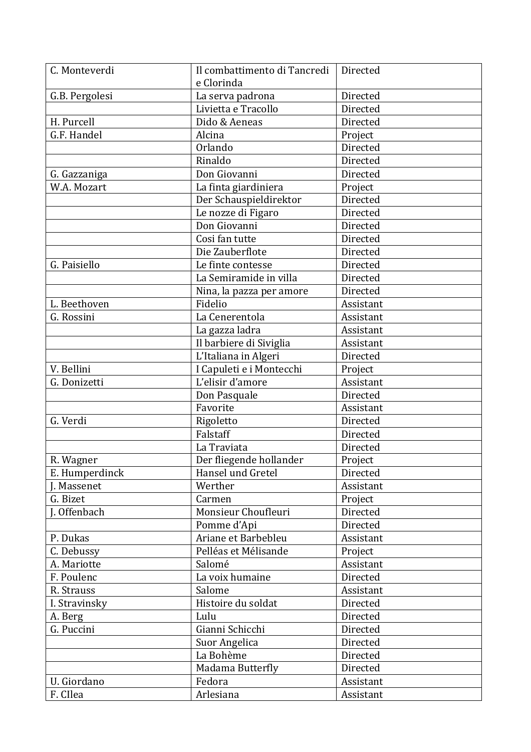| C. Monteverdi  | Il combattimento di Tancredi | Directed  |
|----------------|------------------------------|-----------|
|                | e Clorinda                   |           |
| G.B. Pergolesi | La serva padrona             | Directed  |
|                | Livietta e Tracollo          | Directed  |
| H. Purcell     | Dido & Aeneas                | Directed  |
| G.F. Handel    | Alcina                       | Project   |
|                | Orlando                      | Directed  |
|                | Rinaldo                      | Directed  |
| G. Gazzaniga   | Don Giovanni                 | Directed  |
| W.A. Mozart    | La finta giardiniera         | Project   |
|                | Der Schauspieldirektor       | Directed  |
|                | Le nozze di Figaro           | Directed  |
|                | Don Giovanni                 | Directed  |
|                | Cosi fan tutte               | Directed  |
|                | Die Zauberflote              | Directed  |
| G. Paisiello   | Le finte contesse            | Directed  |
|                | La Semiramide in villa       | Directed  |
|                | Nina, la pazza per amore     | Directed  |
| L. Beethoven   | Fidelio                      | Assistant |
| G. Rossini     | La Cenerentola               | Assistant |
|                | La gazza ladra               | Assistant |
|                | Il barbiere di Siviglia      | Assistant |
|                | L'Italiana in Algeri         | Directed  |
| V. Bellini     | I Capuleti e i Montecchi     | Project   |
| G. Donizetti   | L'elisir d'amore             | Assistant |
|                | Don Pasquale                 | Directed  |
|                | Favorite                     | Assistant |
| G. Verdi       | Rigoletto                    | Directed  |
|                | Falstaff                     | Directed  |
|                | La Traviata                  | Directed  |
| R. Wagner      | Der fliegende hollander      | Project   |
| E. Humperdinck | Hansel und Gretel            | Directed  |
| J. Massenet    | Werther                      | Assistant |
| G. Bizet       | Carmen                       | Project   |
| J. Offenbach   | Monsieur Choufleuri          | Directed  |
|                | Pomme d'Api                  | Directed  |
| P. Dukas       | Ariane et Barbebleu          | Assistant |
| C. Debussy     | Pelléas et Mélisande         | Project   |
| A. Mariotte    | Salomé                       | Assistant |
| F. Poulenc     | La voix humaine              | Directed  |
| R. Strauss     | Salome                       | Assistant |
| I. Stravinsky  | Histoire du soldat           | Directed  |
| A. Berg        | Lulu                         | Directed  |
| G. Puccini     | Gianni Schicchi              | Directed  |
|                | Suor Angelica                | Directed  |
|                | La Bohème                    | Directed  |
|                | Madama Butterfly             | Directed  |
| U. Giordano    | Fedora                       | Assistant |
| F. CIlea       | Arlesiana                    | Assistant |